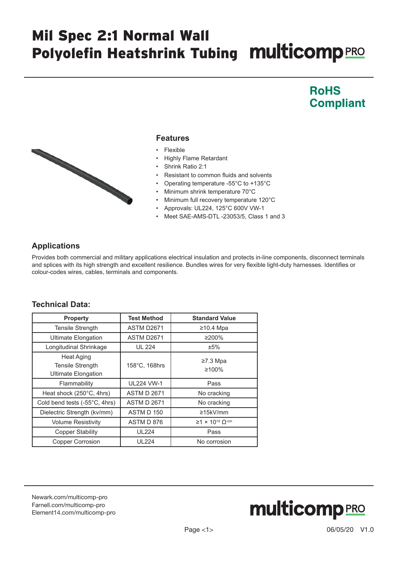# Mil Spec 2:1 Normal Wall Polyolefin Heatshrink Tubing Multicomp PRO

### **RoHS Compliant**



#### **Features**

- Flexible
- Highly Flame Retardant
- Shrink Ratio 2:1
- Resistant to common fluids and solvents
- Operating temperature -55°C to +135°C
- Minimum shrink temperature 70°C
- Minimum full recovery temperature 120°C
- Approvals: UL224, 125°C 600V VW-1
- Meet SAE-AMS-DTL -23053/5, Class 1 and 3

### **Applications**

Provides both commercial and military applications electrical insulation and protects in-line components, disconnect terminals and splices with its high strength and excellent resilience. Bundles wires for very flexible light-duty harnesses. Identifies or colour-codes wires, cables, terminals and components.

#### **Technical Data:**

| <b>Property</b>                                                            | <b>Test Method</b> | <b>Standard Value</b>                               |
|----------------------------------------------------------------------------|--------------------|-----------------------------------------------------|
| <b>Tensile Strength</b>                                                    | ASTM D2671         | $≥10.4$ Mpa                                         |
| <b>Ultimate Elongation</b>                                                 | ASTM D2671         | ≥200%                                               |
| Longitudinal Shrinkage                                                     | <b>UL 224</b>      | ±5%                                                 |
| <b>Heat Aging</b><br><b>Tensile Strength</b><br><b>Ultimate Elongation</b> | 158°C, 168hrs      | $\geq$ 7.3 Mpa<br>≥100%                             |
| Flammability                                                               | <b>UL224 VW-1</b>  | Pass                                                |
| Heat shock (250°C, 4hrs)                                                   | <b>ASTM D 2671</b> | No cracking                                         |
| Cold bend tests (-55°C, 4hrs)                                              | <b>ASTM D 2671</b> | No cracking                                         |
| Dielectric Strength (kv/mm)                                                | ASTM D 150         | $\geq$ 15kV/mm                                      |
| <b>Volume Resistivity</b>                                                  | ASTM D 876         | $\geq$ 1 × 10 <sup>14</sup> $\Omega$ <sup>-cm</sup> |
| <b>Copper Stability</b>                                                    | <b>UL224</b>       | Pass                                                |
| <b>Copper Corrosion</b>                                                    | <b>UL224</b>       | No corrosion                                        |

[Newark.com/multicomp-](https://www.newark.com/multicomp-pro)pro [Farnell.com/multicomp](https://www.farnell.com/multicomp-pro)-pro [Element14.com/multicomp-pro](https://element14.com/multicomp-pro)